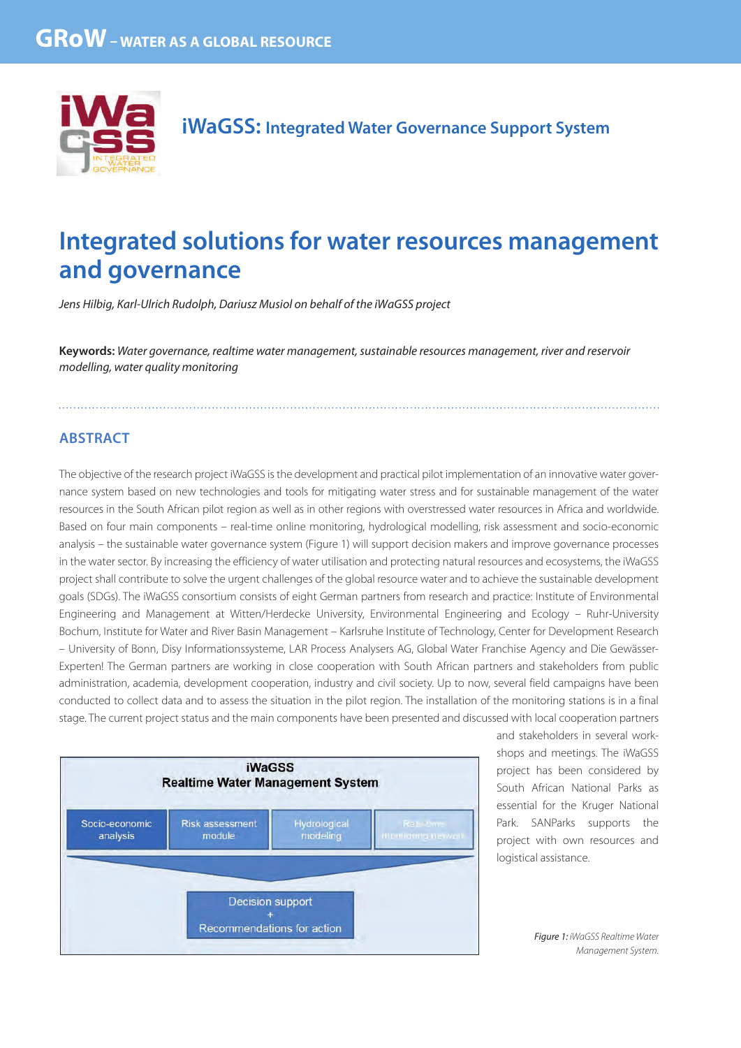

# **Integrated solutions for water resources management and governance**

Jens Hilbig, Karl-Ulrich Rudolph, Dariusz Musiol on behalf of the iWaGSS project

**Keywords:** Water governance, realtime water management, sustainable resources management, river and reservoir modelling, water quality monitoring

# **ABSTRACT**

The objective of the research project iWaGSS is the development and practical pilot implementation of an innovative water governance system based on new technologies and tools for mitigating water stress and for sustainable management of the water resources in the South African pilot region as well as in other regions with overstressed water resources in Africa and worldwide. Based on four main components – real-time online monitoring, hydrological modelling, risk assessment and socio-economic analysis – the sustainable water governance system (Figure 1) will support decision makers and improve governance processes in the water sector. By increasing the efficiency of water utilisation and protecting natural resources and ecosystems, the iWaGSS project shall contribute to solve the urgent challenges of the global resource water and to achieve the sustainable development goals (SDGs). The iWaGSS consortium consists of eight German partners from research and practice: Institute of Environmental Engineering and Management at Witten/Herdecke University, Environmental Engineering and Ecology – Ruhr-University Bochum, Institute for Water and River Basin Management – Karlsruhe Institute of Technology, Center for Development Research – University of Bonn, Disy Informationssysteme, LAR Process Analysers AG, Global Water Franchise Agency and Die Gewässer-Experten! The German partners are working in close cooperation with South African partners and stakeholders from public administration, academia, development cooperation, industry and civil society. Up to now, several field campaigns have been conducted to collect data and to assess the situation in the pilot region. The installation of the monitoring stations is in a final stage. The current project status and the main components have been presented and discussed with local cooperation partners



and stakeholders in several workshops and meetings. The iWaGSS project has been considered by South African National Parks as essential for the Kruger National Park. SANParks supports the project with own resources and logistical assistance.

> Figure 1: iWaGSS Realtime Water Management System.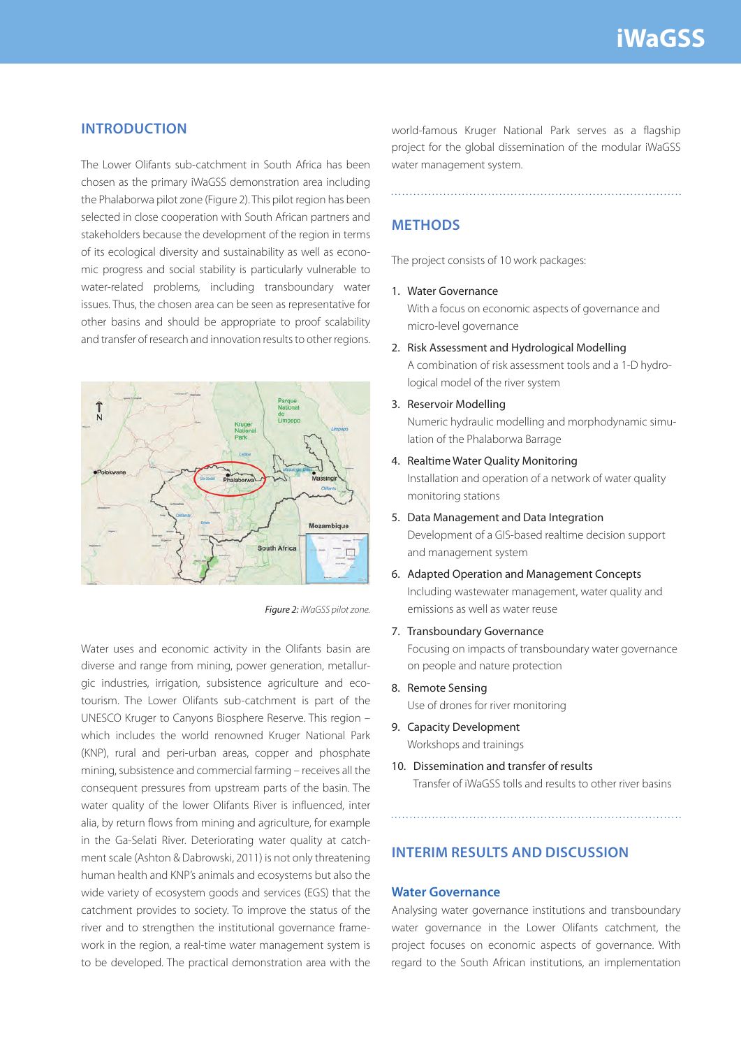## **INTRODUCTION**

The Lower Olifants sub-catchment in South Africa has been chosen as the primary iWaGSS demonstration area including the Phalaborwa pilot zone (Figure 2). This pilot region has been selected in close cooperation with South African partners and stakeholders because the development of the region in terms of its ecological diversity and sustainability as well as economic progress and social stability is particularly vulnerable to water-related problems, including transboundary water issues. Thus, the chosen area can be seen as representative for other basins and should be appropriate to proof scalability and transfer of research and innovation results to other regions.



Figure 2: iWaGSS pilot zone.

Water uses and economic activity in the Olifants basin are diverse and range from mining, power generation, metallurgic industries, irrigation, subsistence agriculture and ecotourism. The Lower Olifants sub-catchment is part of the UNESCO Kruger to Canyons Biosphere Reserve. This region – which includes the world renowned Kruger National Park (KNP), rural and peri-urban areas, copper and phosphate mining, subsistence and commercial farming – receives all the consequent pressures from upstream parts of the basin. The water quality of the lower Olifants River is influenced, inter alia, by return flows from mining and agriculture, for example in the Ga-Selati River. Deteriorating water quality at catchment scale (Ashton & Dabrowski, 2011) is not only threatening human health and KNP's animals and ecosystems but also the wide variety of ecosystem goods and services (EGS) that the catchment provides to society. To improve the status of the river and to strengthen the institutional governance framework in the region, a real-time water management system is to be developed. The practical demonstration area with the

world-famous Kruger National Park serves as a flagship project for the global dissemination of the modular iWaGSS water management system.

## **METHODS**

The project consists of 10 work packages:

#### 1. Water Governance

With a focus on economic aspects of governance and micro-level governance

- 2. Risk Assessment and Hydrological Modelling A combination of risk assessment tools and a 1-D hydrological model of the river system
- 3. Reservoir Modelling

Numeric hydraulic modelling and morphodynamic simulation of the Phalaborwa Barrage

4. Realtime Water Quality Monitoring

Installation and operation of a network of water quality monitoring stations

5. Data Management and Data Integration

Development of a GIS-based realtime decision support and management system

- 6. Adapted Operation and Management Concepts Including wastewater management, water quality and emissions as well as water reuse
- 7. Transboundary Governance

Focusing on impacts of transboundary water governance on people and nature protection

8. Remote Sensing

Use of drones for river monitoring

- 9. Capacity Development Workshops and trainings
- 10. Dissemination and transfer of results Transfer of iWaGSS tolls and results to other river basins

# **INTERIM RESULTS AND DISCUSSION**

#### **Water Governance**

Analysing water governance institutions and transboundary water governance in the Lower Olifants catchment, the project focuses on economic aspects of governance. With regard to the South African institutions, an implementation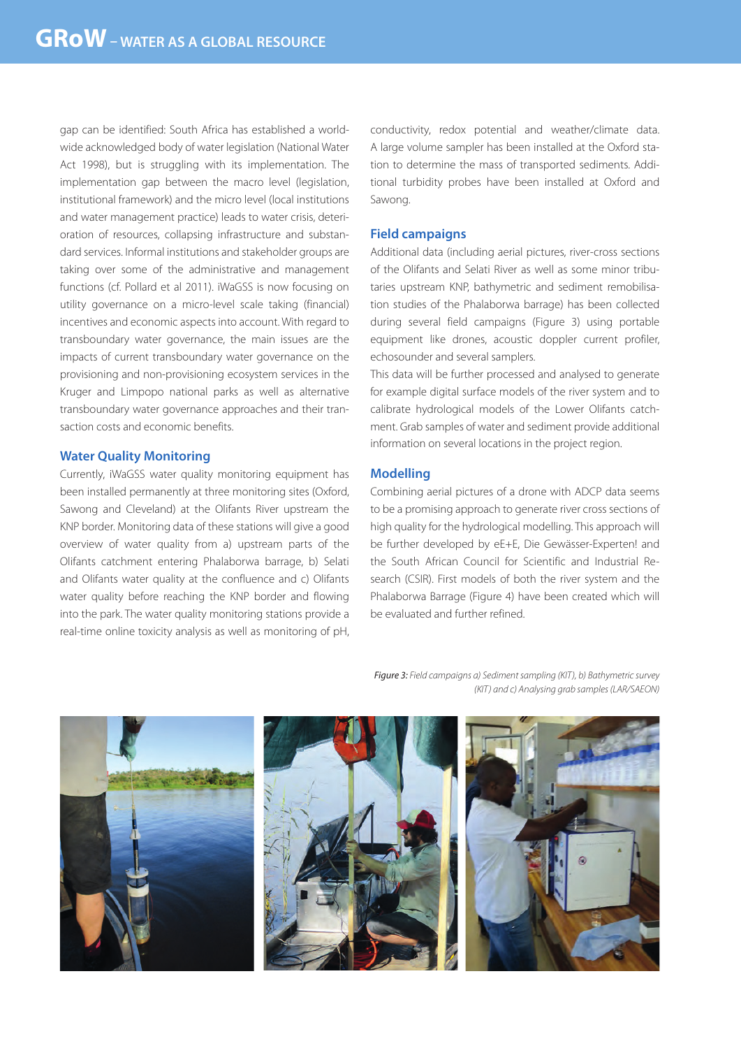gap can be identified: South Africa has established a worldwide acknowledged body of water legislation (National Water Act 1998), but is struggling with its implementation. The implementation gap between the macro level (legislation, institutional framework) and the micro level (local institutions and water management practice) leads to water crisis, deterioration of resources, collapsing infrastructure and substandard services. Informal institutions and stakeholder groups are taking over some of the administrative and management functions (cf. Pollard et al 2011). iWaGSS is now focusing on utility governance on a micro-level scale taking (financial) incentives and economic aspects into account. With regard to transboundary water governance, the main issues are the impacts of current transboundary water governance on the provisioning and non-provisioning ecosystem services in the Kruger and Limpopo national parks as well as alternative transboundary water governance approaches and their transaction costs and economic benefits.

#### **Water Quality Monitoring**

Currently, iWaGSS water quality monitoring equipment has been installed permanently at three monitoring sites (Oxford, Sawong and Cleveland) at the Olifants River upstream the KNP border. Monitoring data of these stations will give a good overview of water quality from a) upstream parts of the Olifants catchment entering Phalaborwa barrage, b) Selati and Olifants water quality at the confluence and c) Olifants water quality before reaching the KNP border and flowing into the park. The water quality monitoring stations provide a real-time online toxicity analysis as well as monitoring of pH, conductivity, redox potential and weather/climate data. A large volume sampler has been installed at the Oxford station to determine the mass of transported sediments. Additional turbidity probes have been installed at Oxford and Sawong.

#### **Field campaigns**

Additional data (including aerial pictures, river-cross sections of the Olifants and Selati River as well as some minor tributaries upstream KNP, bathymetric and sediment remobilisation studies of the Phalaborwa barrage) has been collected during several field campaigns (Figure 3) using portable equipment like drones, acoustic doppler current profiler, echosounder and several samplers.

This data will be further processed and analysed to generate for example digital surface models of the river system and to calibrate hydrological models of the Lower Olifants catchment. Grab samples of water and sediment provide additional information on several locations in the project region.

#### **Modelling**

Combining aerial pictures of a drone with ADCP data seems to be a promising approach to generate river cross sections of high quality for the hydrological modelling. This approach will be further developed by eE+E, Die Gewässer-Experten! and the South African Council for Scientific and Industrial Research (CSIR). First models of both the river system and the Phalaborwa Barrage (Figure 4) have been created which will be evaluated and further refined.

Figure 3: Field campaigns a) Sediment sampling (KIT), b) Bathymetric survey (KIT) and c) Analysing grab samples (LAR/SAEON)

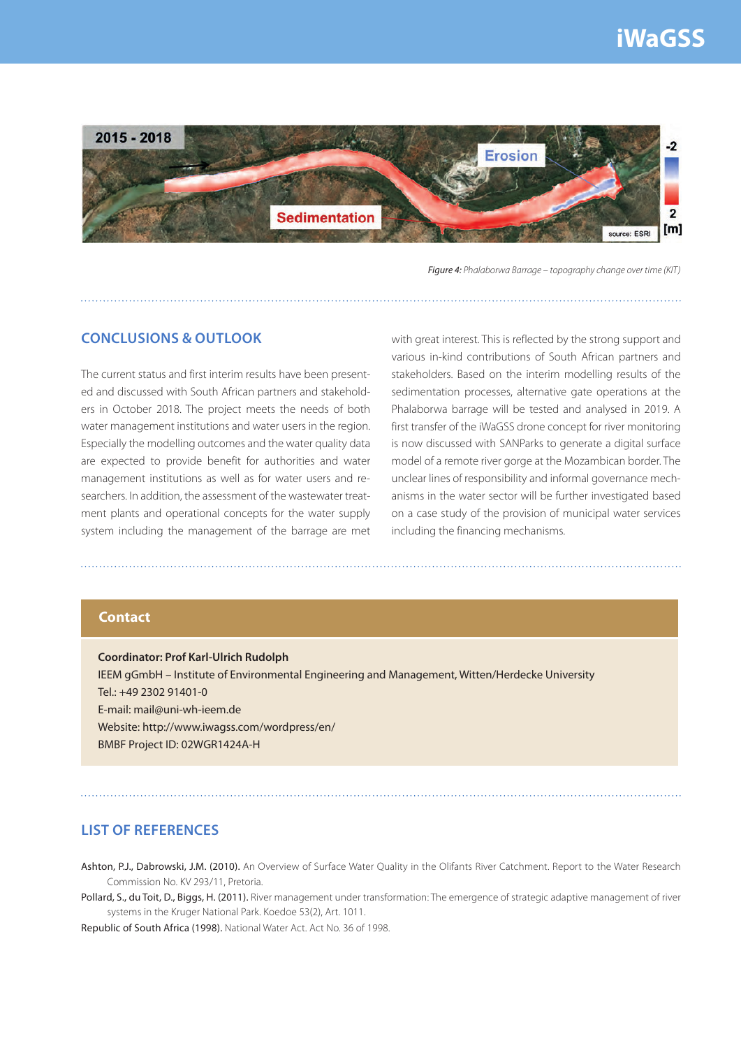# **iWaGSS**



Figure 4: Phalaborwa Barrage – topography change over time (KIT)

## **CONCLUSIONS & OUTLOOK**

The current status and first interim results have been presented and discussed with South African partners and stakeholders in October 2018. The project meets the needs of both water management institutions and water users in the region. Especially the modelling outcomes and the water quality data are expected to provide benefit for authorities and water management institutions as well as for water users and researchers. In addition, the assessment of the wastewater treatment plants and operational concepts for the water supply system including the management of the barrage are met with great interest. This is reflected by the strong support and various in-kind contributions of South African partners and stakeholders. Based on the interim modelling results of the sedimentation processes, alternative gate operations at the Phalaborwa barrage will be tested and analysed in 2019. A first transfer of the iWaGSS drone concept for river monitoring is now discussed with SANParks to generate a digital surface model of a remote river gorge at the Mozambican border. The unclear lines of responsibility and informal governance mechanisms in the water sector will be further investigated based on a case study of the provision of municipal water services including the financing mechanisms.

#### **Contact**

**Coordinator: Prof Karl-Ulrich Rudolph** IEEM gGmbH – Institute of Environmental Engineering and Management, Witten/Herdecke University  $Tel \cdot +49$  2302 91401-0 E-mail: mail@uni-wh-ieem.de Website: http://www.iwagss.com/wordpress/en/ BMBF Project ID: 02WGR1424A-H

### **LIST OF REFERENCES**

Ashton, P.J., Dabrowski, J.M. (2010). An Overview of Surface Water Quality in the Olifants River Catchment. Report to the Water Research Commission No. KV 293/11, Pretoria.

Pollard, S., du Toit, D., Biggs, H. (2011). River management under transformation: The emergence of strategic adaptive management of river systems in the Kruger National Park. Koedoe 53(2), Art. 1011.

Republic of South Africa (1998). National Water Act. Act No. 36 of 1998.